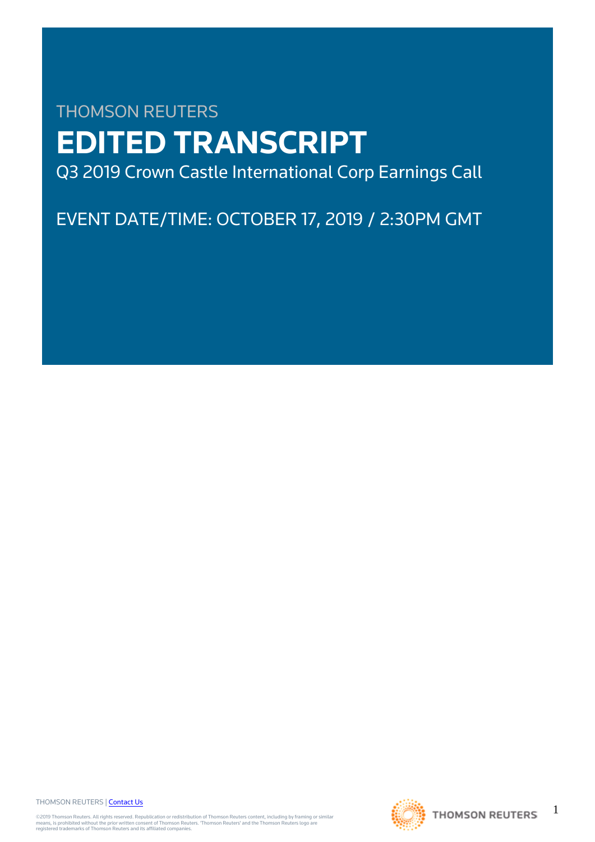# THOMSON REUTERS **EDITED TRANSCRIPT** Q3 2019 Crown Castle International Corp Earnings Call

EVENT DATE/TIME: OCTOBER 17, 2019 / 2:30PM GMT

THOMSON REUTERS | [Contact Us](https://my.thomsonreuters.com/ContactUsNew)

©2019 Thomson Reuters. All rights reserved. Republication or redistribution of Thomson Reuters content, including by framing or similar<br>means, is prohibited without the prior written consent of Thomson Reuters. "Thomson Re



1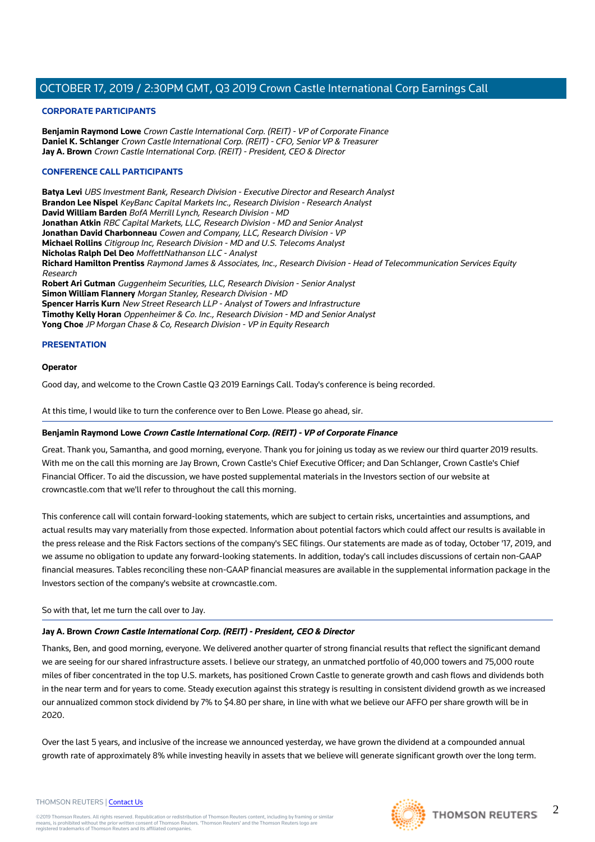#### **CORPORATE PARTICIPANTS**

**Benjamin Raymond Lowe** Crown Castle International Corp. (REIT) - VP of Corporate Finance **Daniel K. Schlanger** Crown Castle International Corp. (REIT) - CFO, Senior VP & Treasurer **Jay A. Brown** Crown Castle International Corp. (REIT) - President, CEO & Director

## **CONFERENCE CALL PARTICIPANTS**

**Batya Levi** UBS Investment Bank, Research Division - Executive Director and Research Analyst **Brandon Lee Nispel** KeyBanc Capital Markets Inc., Research Division - Research Analyst **David William Barden** BofA Merrill Lynch, Research Division - MD **Jonathan Atkin** RBC Capital Markets, LLC, Research Division - MD and Senior Analyst **Jonathan David Charbonneau** Cowen and Company, LLC, Research Division - VP **Michael Rollins** Citigroup Inc, Research Division - MD and U.S. Telecoms Analyst **Nicholas Ralph Del Deo** MoffettNathanson LLC - Analyst **Richard Hamilton Prentiss** Raymond James & Associates, Inc., Research Division - Head of Telecommunication Services Equity Research **Robert Ari Gutman** Guggenheim Securities, LLC, Research Division - Senior Analyst **Simon William Flannery** Morgan Stanley, Research Division - MD **Spencer Harris Kurn** New Street Research LLP - Analyst of Towers and Infrastructure **Timothy Kelly Horan** Oppenheimer & Co. Inc., Research Division - MD and Senior Analyst **Yong Choe** JP Morgan Chase & Co, Research Division - VP in Equity Research

## **PRESENTATION**

## **Operator**

Good day, and welcome to the Crown Castle Q3 2019 Earnings Call. Today's conference is being recorded.

At this time, I would like to turn the conference over to Ben Lowe. Please go ahead, sir.

## **Benjamin Raymond Lowe Crown Castle International Corp. (REIT) - VP of Corporate Finance**

Great. Thank you, Samantha, and good morning, everyone. Thank you for joining us today as we review our third quarter 2019 results. With me on the call this morning are Jay Brown, Crown Castle's Chief Executive Officer; and Dan Schlanger, Crown Castle's Chief Financial Officer. To aid the discussion, we have posted supplemental materials in the Investors section of our website at crowncastle.com that we'll refer to throughout the call this morning.

This conference call will contain forward-looking statements, which are subject to certain risks, uncertainties and assumptions, and actual results may vary materially from those expected. Information about potential factors which could affect our results is available in the press release and the Risk Factors sections of the company's SEC filings. Our statements are made as of today, October '17, 2019, and we assume no obligation to update any forward-looking statements. In addition, today's call includes discussions of certain non-GAAP financial measures. Tables reconciling these non-GAAP financial measures are available in the supplemental information package in the Investors section of the company's website at crowncastle.com.

## So with that, let me turn the call over to Jay.

## **Jay A. Brown Crown Castle International Corp. (REIT) - President, CEO & Director**

Thanks, Ben, and good morning, everyone. We delivered another quarter of strong financial results that reflect the significant demand we are seeing for our shared infrastructure assets. I believe our strategy, an unmatched portfolio of 40,000 towers and 75,000 route miles of fiber concentrated in the top U.S. markets, has positioned Crown Castle to generate growth and cash flows and dividends both in the near term and for years to come. Steady execution against this strategy is resulting in consistent dividend growth as we increased our annualized common stock dividend by 7% to \$4.80 per share, in line with what we believe our AFFO per share growth will be in 2020.

Over the last 5 years, and inclusive of the increase we announced yesterday, we have grown the dividend at a compounded annual growth rate of approximately 8% while investing heavily in assets that we believe will generate significant growth over the long term.

# THOMSON REUTERS | [Contact Us](https://my.thomsonreuters.com/ContactUsNew)

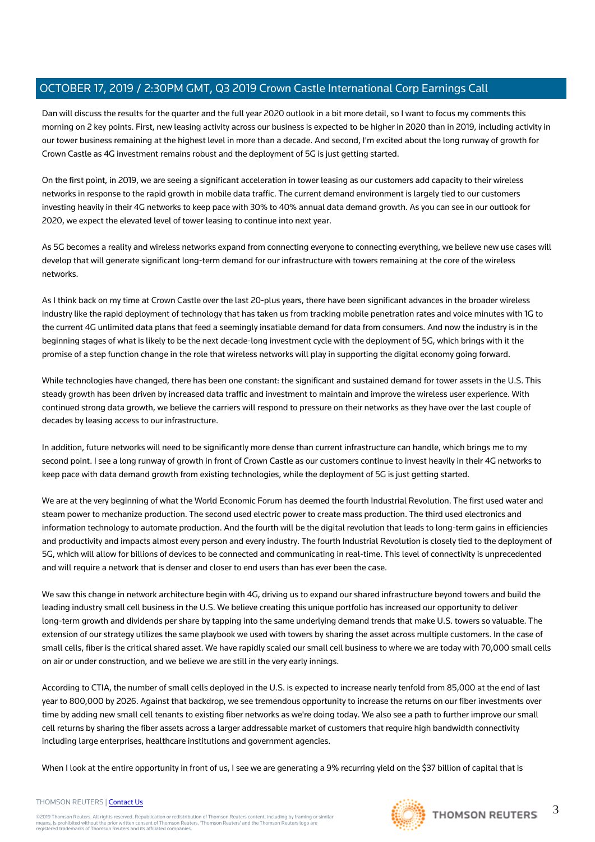Dan will discuss the results for the quarter and the full year 2020 outlook in a bit more detail, so I want to focus my comments this morning on 2 key points. First, new leasing activity across our business is expected to be higher in 2020 than in 2019, including activity in our tower business remaining at the highest level in more than a decade. And second, I'm excited about the long runway of growth for Crown Castle as 4G investment remains robust and the deployment of 5G is just getting started.

On the first point, in 2019, we are seeing a significant acceleration in tower leasing as our customers add capacity to their wireless networks in response to the rapid growth in mobile data traffic. The current demand environment is largely tied to our customers investing heavily in their 4G networks to keep pace with 30% to 40% annual data demand growth. As you can see in our outlook for 2020, we expect the elevated level of tower leasing to continue into next year.

As 5G becomes a reality and wireless networks expand from connecting everyone to connecting everything, we believe new use cases will develop that will generate significant long-term demand for our infrastructure with towers remaining at the core of the wireless networks.

As I think back on my time at Crown Castle over the last 20-plus years, there have been significant advances in the broader wireless industry like the rapid deployment of technology that has taken us from tracking mobile penetration rates and voice minutes with 1G to the current 4G unlimited data plans that feed a seemingly insatiable demand for data from consumers. And now the industry is in the beginning stages of what is likely to be the next decade-long investment cycle with the deployment of 5G, which brings with it the promise of a step function change in the role that wireless networks will play in supporting the digital economy going forward.

While technologies have changed, there has been one constant: the significant and sustained demand for tower assets in the U.S. This steady growth has been driven by increased data traffic and investment to maintain and improve the wireless user experience. With continued strong data growth, we believe the carriers will respond to pressure on their networks as they have over the last couple of decades by leasing access to our infrastructure.

In addition, future networks will need to be significantly more dense than current infrastructure can handle, which brings me to my second point. I see a long runway of growth in front of Crown Castle as our customers continue to invest heavily in their 4G networks to keep pace with data demand growth from existing technologies, while the deployment of 5G is just getting started.

We are at the very beginning of what the World Economic Forum has deemed the fourth Industrial Revolution. The first used water and steam power to mechanize production. The second used electric power to create mass production. The third used electronics and information technology to automate production. And the fourth will be the digital revolution that leads to long-term gains in efficiencies and productivity and impacts almost every person and every industry. The fourth Industrial Revolution is closely tied to the deployment of 5G, which will allow for billions of devices to be connected and communicating in real-time. This level of connectivity is unprecedented and will require a network that is denser and closer to end users than has ever been the case.

We saw this change in network architecture begin with 4G, driving us to expand our shared infrastructure beyond towers and build the leading industry small cell business in the U.S. We believe creating this unique portfolio has increased our opportunity to deliver long-term growth and dividends per share by tapping into the same underlying demand trends that make U.S. towers so valuable. The extension of our strategy utilizes the same playbook we used with towers by sharing the asset across multiple customers. In the case of small cells, fiber is the critical shared asset. We have rapidly scaled our small cell business to where we are today with 70,000 small cells on air or under construction, and we believe we are still in the very early innings.

According to CTIA, the number of small cells deployed in the U.S. is expected to increase nearly tenfold from 85,000 at the end of last year to 800,000 by 2026. Against that backdrop, we see tremendous opportunity to increase the returns on our fiber investments over time by adding new small cell tenants to existing fiber networks as we're doing today. We also see a path to further improve our small cell returns by sharing the fiber assets across a larger addressable market of customers that require high bandwidth connectivity including large enterprises, healthcare institutions and government agencies.

When I look at the entire opportunity in front of us, I see we are generating a 9% recurring yield on the \$37 billion of capital that is



## THOMSON REUTERS | [Contact Us](https://my.thomsonreuters.com/ContactUsNew)

©2019 Thomson Reuters. All rights reserved. Republication or redistribution of Thomson Reuters content, including by framing or similar<br>means, is prohibited without the prior written consent of Thomson Reuters. "Thomson Re

3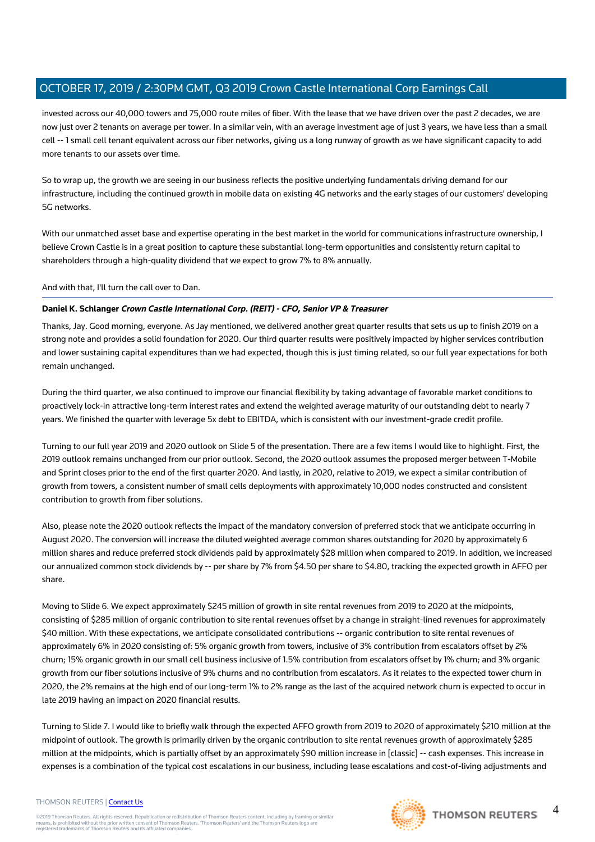invested across our 40,000 towers and 75,000 route miles of fiber. With the lease that we have driven over the past 2 decades, we are now just over 2 tenants on average per tower. In a similar vein, with an average investment age of just 3 years, we have less than a small cell -- 1 small cell tenant equivalent across our fiber networks, giving us a long runway of growth as we have significant capacity to add more tenants to our assets over time.

So to wrap up, the growth we are seeing in our business reflects the positive underlying fundamentals driving demand for our infrastructure, including the continued growth in mobile data on existing 4G networks and the early stages of our customers' developing 5G networks.

With our unmatched asset base and expertise operating in the best market in the world for communications infrastructure ownership, I believe Crown Castle is in a great position to capture these substantial long-term opportunities and consistently return capital to shareholders through a high-quality dividend that we expect to grow 7% to 8% annually.

And with that, I'll turn the call over to Dan.

## **Daniel K. Schlanger Crown Castle International Corp. (REIT) - CFO, Senior VP & Treasurer**

Thanks, Jay. Good morning, everyone. As Jay mentioned, we delivered another great quarter results that sets us up to finish 2019 on a strong note and provides a solid foundation for 2020. Our third quarter results were positively impacted by higher services contribution and lower sustaining capital expenditures than we had expected, though this is just timing related, so our full year expectations for both remain unchanged.

During the third quarter, we also continued to improve our financial flexibility by taking advantage of favorable market conditions to proactively lock-in attractive long-term interest rates and extend the weighted average maturity of our outstanding debt to nearly 7 years. We finished the quarter with leverage 5x debt to EBITDA, which is consistent with our investment-grade credit profile.

Turning to our full year 2019 and 2020 outlook on Slide 5 of the presentation. There are a few items I would like to highlight. First, the 2019 outlook remains unchanged from our prior outlook. Second, the 2020 outlook assumes the proposed merger between T-Mobile and Sprint closes prior to the end of the first quarter 2020. And lastly, in 2020, relative to 2019, we expect a similar contribution of growth from towers, a consistent number of small cells deployments with approximately 10,000 nodes constructed and consistent contribution to growth from fiber solutions.

Also, please note the 2020 outlook reflects the impact of the mandatory conversion of preferred stock that we anticipate occurring in August 2020. The conversion will increase the diluted weighted average common shares outstanding for 2020 by approximately 6 million shares and reduce preferred stock dividends paid by approximately \$28 million when compared to 2019. In addition, we increased our annualized common stock dividends by -- per share by 7% from \$4.50 per share to \$4.80, tracking the expected growth in AFFO per share.

Moving to Slide 6. We expect approximately \$245 million of growth in site rental revenues from 2019 to 2020 at the midpoints, consisting of \$285 million of organic contribution to site rental revenues offset by a change in straight-lined revenues for approximately \$40 million. With these expectations, we anticipate consolidated contributions -- organic contribution to site rental revenues of approximately 6% in 2020 consisting of: 5% organic growth from towers, inclusive of 3% contribution from escalators offset by 2% churn; 15% organic growth in our small cell business inclusive of 1.5% contribution from escalators offset by 1% churn; and 3% organic growth from our fiber solutions inclusive of 9% churns and no contribution from escalators. As it relates to the expected tower churn in 2020, the 2% remains at the high end of our long-term 1% to 2% range as the last of the acquired network churn is expected to occur in late 2019 having an impact on 2020 financial results.

Turning to Slide 7. I would like to briefly walk through the expected AFFO growth from 2019 to 2020 of approximately \$210 million at the midpoint of outlook. The growth is primarily driven by the organic contribution to site rental revenues growth of approximately \$285 million at the midpoints, which is partially offset by an approximately \$90 million increase in [classic] -- cash expenses. This increase in expenses is a combination of the typical cost escalations in our business, including lease escalations and cost-of-living adjustments and

#### THOMSON REUTERS | [Contact Us](https://my.thomsonreuters.com/ContactUsNew)

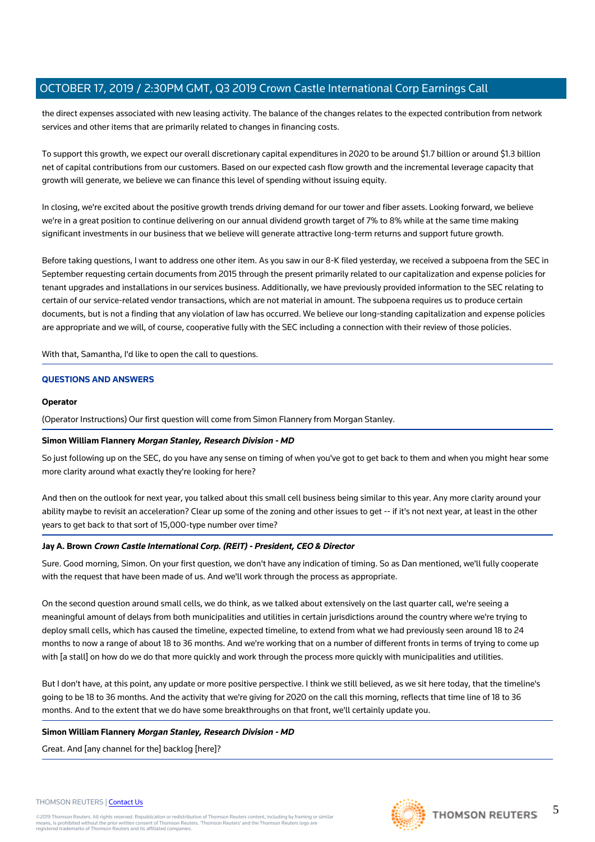the direct expenses associated with new leasing activity. The balance of the changes relates to the expected contribution from network services and other items that are primarily related to changes in financing costs.

To support this growth, we expect our overall discretionary capital expenditures in 2020 to be around \$1.7 billion or around \$1.3 billion net of capital contributions from our customers. Based on our expected cash flow growth and the incremental leverage capacity that growth will generate, we believe we can finance this level of spending without issuing equity.

In closing, we're excited about the positive growth trends driving demand for our tower and fiber assets. Looking forward, we believe we're in a great position to continue delivering on our annual dividend growth target of 7% to 8% while at the same time making significant investments in our business that we believe will generate attractive long-term returns and support future growth.

Before taking questions, I want to address one other item. As you saw in our 8-K filed yesterday, we received a subpoena from the SEC in September requesting certain documents from 2015 through the present primarily related to our capitalization and expense policies for tenant upgrades and installations in our services business. Additionally, we have previously provided information to the SEC relating to certain of our service-related vendor transactions, which are not material in amount. The subpoena requires us to produce certain documents, but is not a finding that any violation of law has occurred. We believe our long-standing capitalization and expense policies are appropriate and we will, of course, cooperative fully with the SEC including a connection with their review of those policies.

With that, Samantha, I'd like to open the call to questions.

## **QUESTIONS AND ANSWERS**

## **Operator**

(Operator Instructions) Our first question will come from Simon Flannery from Morgan Stanley.

## **Simon William Flannery Morgan Stanley, Research Division - MD**

So just following up on the SEC, do you have any sense on timing of when you've got to get back to them and when you might hear some more clarity around what exactly they're looking for here?

And then on the outlook for next year, you talked about this small cell business being similar to this year. Any more clarity around your ability maybe to revisit an acceleration? Clear up some of the zoning and other issues to get -- if it's not next year, at least in the other years to get back to that sort of 15,000-type number over time?

## **Jay A. Brown Crown Castle International Corp. (REIT) - President, CEO & Director**

Sure. Good morning, Simon. On your first question, we don't have any indication of timing. So as Dan mentioned, we'll fully cooperate with the request that have been made of us. And we'll work through the process as appropriate.

On the second question around small cells, we do think, as we talked about extensively on the last quarter call, we're seeing a meaningful amount of delays from both municipalities and utilities in certain jurisdictions around the country where we're trying to deploy small cells, which has caused the timeline, expected timeline, to extend from what we had previously seen around 18 to 24 months to now a range of about 18 to 36 months. And we're working that on a number of different fronts in terms of trying to come up with [a stall] on how do we do that more quickly and work through the process more quickly with municipalities and utilities.

But I don't have, at this point, any update or more positive perspective. I think we still believed, as we sit here today, that the timeline's going to be 18 to 36 months. And the activity that we're giving for 2020 on the call this morning, reflects that time line of 18 to 36 months. And to the extent that we do have some breakthroughs on that front, we'll certainly update you.

## **Simon William Flannery Morgan Stanley, Research Division - MD**

Great. And [any channel for the] backlog [here]?

#### THOMSON REUTERS | [Contact Us](https://my.thomsonreuters.com/ContactUsNew)

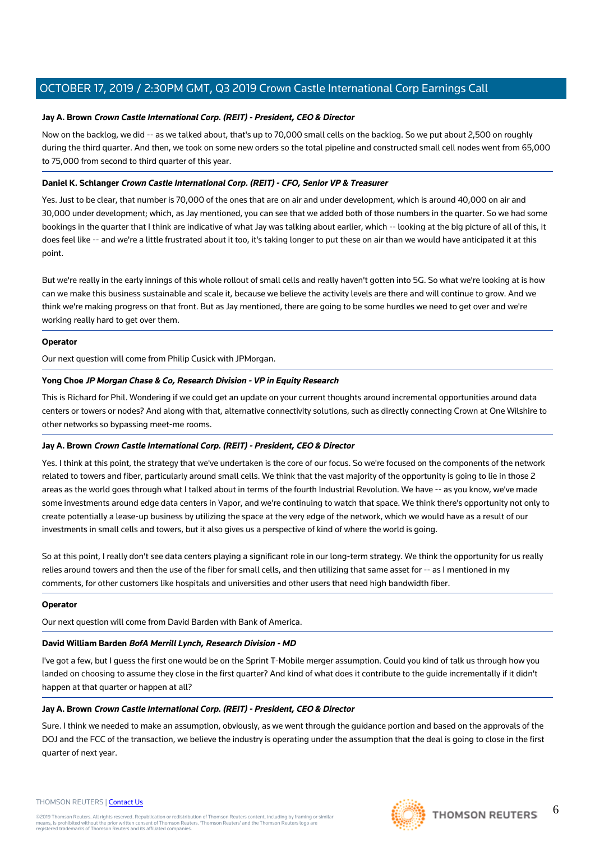## **Jay A. Brown Crown Castle International Corp. (REIT) - President, CEO & Director**

Now on the backlog, we did -- as we talked about, that's up to 70,000 small cells on the backlog. So we put about 2,500 on roughly during the third quarter. And then, we took on some new orders so the total pipeline and constructed small cell nodes went from 65,000 to 75,000 from second to third quarter of this year.

## **Daniel K. Schlanger Crown Castle International Corp. (REIT) - CFO, Senior VP & Treasurer**

Yes. Just to be clear, that number is 70,000 of the ones that are on air and under development, which is around 40,000 on air and 30,000 under development; which, as Jay mentioned, you can see that we added both of those numbers in the quarter. So we had some bookings in the quarter that I think are indicative of what Jay was talking about earlier, which -- looking at the big picture of all of this, it does feel like -- and we're a little frustrated about it too, it's taking longer to put these on air than we would have anticipated it at this point.

But we're really in the early innings of this whole rollout of small cells and really haven't gotten into 5G. So what we're looking at is how can we make this business sustainable and scale it, because we believe the activity levels are there and will continue to grow. And we think we're making progress on that front. But as Jay mentioned, there are going to be some hurdles we need to get over and we're working really hard to get over them.

## **Operator**

Our next question will come from Philip Cusick with JPMorgan.

## **Yong Choe JP Morgan Chase & Co, Research Division - VP in Equity Research**

This is Richard for Phil. Wondering if we could get an update on your current thoughts around incremental opportunities around data centers or towers or nodes? And along with that, alternative connectivity solutions, such as directly connecting Crown at One Wilshire to other networks so bypassing meet-me rooms.

## **Jay A. Brown Crown Castle International Corp. (REIT) - President, CEO & Director**

Yes. I think at this point, the strategy that we've undertaken is the core of our focus. So we're focused on the components of the network related to towers and fiber, particularly around small cells. We think that the vast majority of the opportunity is going to lie in those 2 areas as the world goes through what I talked about in terms of the fourth Industrial Revolution. We have -- as you know, we've made some investments around edge data centers in Vapor, and we're continuing to watch that space. We think there's opportunity not only to create potentially a lease-up business by utilizing the space at the very edge of the network, which we would have as a result of our investments in small cells and towers, but it also gives us a perspective of kind of where the world is going.

So at this point, I really don't see data centers playing a significant role in our long-term strategy. We think the opportunity for us really relies around towers and then the use of the fiber for small cells, and then utilizing that same asset for -- as I mentioned in my comments, for other customers like hospitals and universities and other users that need high bandwidth fiber.

## **Operator**

Our next question will come from David Barden with Bank of America.

## **David William Barden BofA Merrill Lynch, Research Division - MD**

I've got a few, but I guess the first one would be on the Sprint T-Mobile merger assumption. Could you kind of talk us through how you landed on choosing to assume they close in the first quarter? And kind of what does it contribute to the guide incrementally if it didn't happen at that quarter or happen at all?

## **Jay A. Brown Crown Castle International Corp. (REIT) - President, CEO & Director**

Sure. I think we needed to make an assumption, obviously, as we went through the guidance portion and based on the approvals of the DOJ and the FCC of the transaction, we believe the industry is operating under the assumption that the deal is going to close in the first quarter of next year.

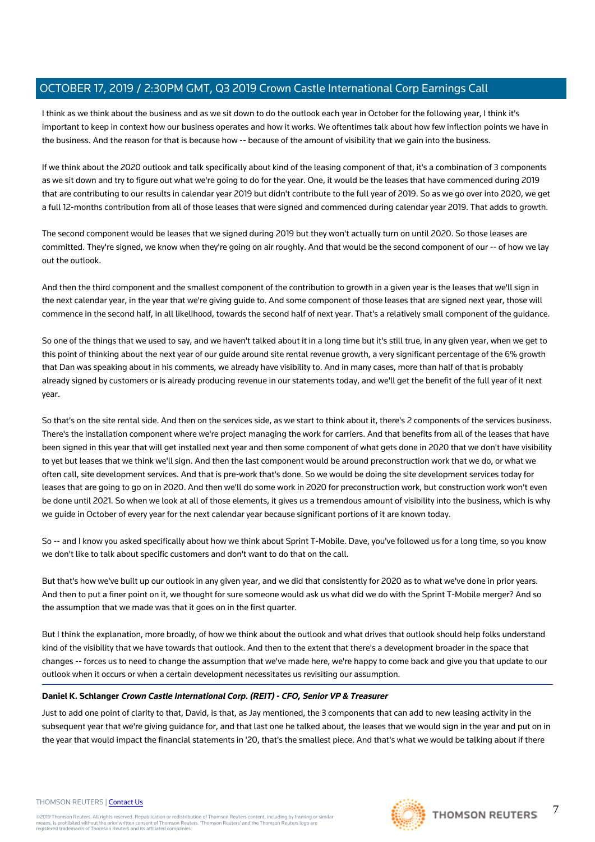I think as we think about the business and as we sit down to do the outlook each year in October for the following year, I think it's important to keep in context how our business operates and how it works. We oftentimes talk about how few inflection points we have in the business. And the reason for that is because how -- because of the amount of visibility that we gain into the business.

If we think about the 2020 outlook and talk specifically about kind of the leasing component of that, it's a combination of 3 components as we sit down and try to figure out what we're going to do for the year. One, it would be the leases that have commenced during 2019 that are contributing to our results in calendar year 2019 but didn't contribute to the full year of 2019. So as we go over into 2020, we get a full 12-months contribution from all of those leases that were signed and commenced during calendar year 2019. That adds to growth.

The second component would be leases that we signed during 2019 but they won't actually turn on until 2020. So those leases are committed. They're signed, we know when they're going on air roughly. And that would be the second component of our -- of how we lay out the outlook.

And then the third component and the smallest component of the contribution to growth in a given year is the leases that we'll sign in the next calendar year, in the year that we're giving guide to. And some component of those leases that are signed next year, those will commence in the second half, in all likelihood, towards the second half of next year. That's a relatively small component of the guidance.

So one of the things that we used to say, and we haven't talked about it in a long time but it's still true, in any given year, when we get to this point of thinking about the next year of our guide around site rental revenue growth, a very significant percentage of the 6% growth that Dan was speaking about in his comments, we already have visibility to. And in many cases, more than half of that is probably already signed by customers or is already producing revenue in our statements today, and we'll get the benefit of the full year of it next year.

So that's on the site rental side. And then on the services side, as we start to think about it, there's 2 components of the services business. There's the installation component where we're project managing the work for carriers. And that benefits from all of the leases that have been signed in this year that will get installed next year and then some component of what gets done in 2020 that we don't have visibility to yet but leases that we think we'll sign. And then the last component would be around preconstruction work that we do, or what we often call, site development services. And that is pre-work that's done. So we would be doing the site development services today for leases that are going to go on in 2020. And then we'll do some work in 2020 for preconstruction work, but construction work won't even be done until 2021. So when we look at all of those elements, it gives us a tremendous amount of visibility into the business, which is why we guide in October of every year for the next calendar year because significant portions of it are known today.

So -- and I know you asked specifically about how we think about Sprint T-Mobile. Dave, you've followed us for a long time, so you know we don't like to talk about specific customers and don't want to do that on the call.

But that's how we've built up our outlook in any given year, and we did that consistently for 2020 as to what we've done in prior years. And then to put a finer point on it, we thought for sure someone would ask us what did we do with the Sprint T-Mobile merger? And so the assumption that we made was that it goes on in the first quarter.

But I think the explanation, more broadly, of how we think about the outlook and what drives that outlook should help folks understand kind of the visibility that we have towards that outlook. And then to the extent that there's a development broader in the space that changes -- forces us to need to change the assumption that we've made here, we're happy to come back and give you that update to our outlook when it occurs or when a certain development necessitates us revisiting our assumption.

## **Daniel K. Schlanger Crown Castle International Corp. (REIT) - CFO, Senior VP & Treasurer**

Just to add one point of clarity to that, David, is that, as Jay mentioned, the 3 components that can add to new leasing activity in the subsequent year that we're giving guidance for, and that last one he talked about, the leases that we would sign in the year and put on in the year that would impact the financial statements in '20, that's the smallest piece. And that's what we would be talking about if there



7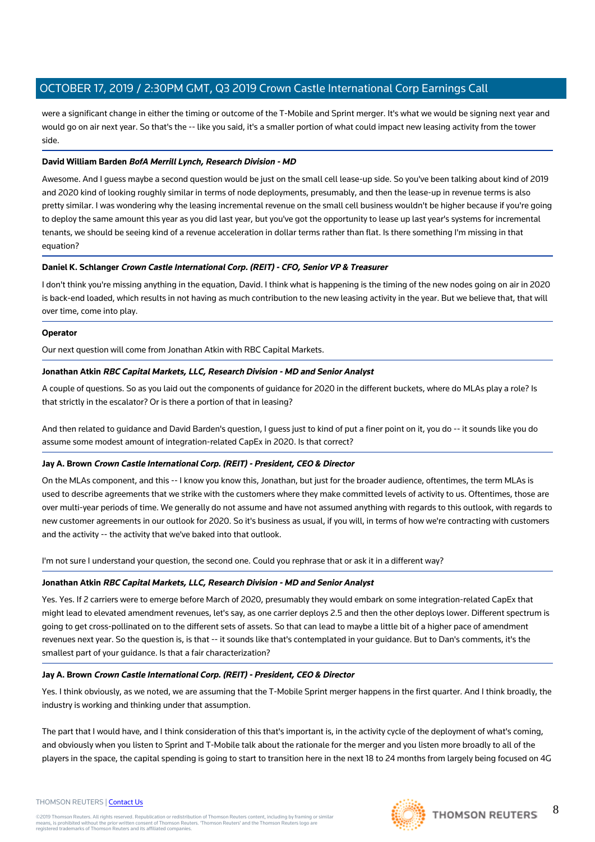were a significant change in either the timing or outcome of the T-Mobile and Sprint merger. It's what we would be signing next year and would go on air next year. So that's the -- like you said, it's a smaller portion of what could impact new leasing activity from the tower side.

## **David William Barden BofA Merrill Lynch, Research Division - MD**

Awesome. And I guess maybe a second question would be just on the small cell lease-up side. So you've been talking about kind of 2019 and 2020 kind of looking roughly similar in terms of node deployments, presumably, and then the lease-up in revenue terms is also pretty similar. I was wondering why the leasing incremental revenue on the small cell business wouldn't be higher because if you're going to deploy the same amount this year as you did last year, but you've got the opportunity to lease up last year's systems for incremental tenants, we should be seeing kind of a revenue acceleration in dollar terms rather than flat. Is there something I'm missing in that equation?

## **Daniel K. Schlanger Crown Castle International Corp. (REIT) - CFO, Senior VP & Treasurer**

I don't think you're missing anything in the equation, David. I think what is happening is the timing of the new nodes going on air in 2020 is back-end loaded, which results in not having as much contribution to the new leasing activity in the year. But we believe that, that will over time, come into play.

## **Operator**

Our next question will come from Jonathan Atkin with RBC Capital Markets.

## **Jonathan Atkin RBC Capital Markets, LLC, Research Division - MD and Senior Analyst**

A couple of questions. So as you laid out the components of guidance for 2020 in the different buckets, where do MLAs play a role? Is that strictly in the escalator? Or is there a portion of that in leasing?

And then related to guidance and David Barden's question, I guess just to kind of put a finer point on it, you do -- it sounds like you do assume some modest amount of integration-related CapEx in 2020. Is that correct?

## **Jay A. Brown Crown Castle International Corp. (REIT) - President, CEO & Director**

On the MLAs component, and this -- I know you know this, Jonathan, but just for the broader audience, oftentimes, the term MLAs is used to describe agreements that we strike with the customers where they make committed levels of activity to us. Oftentimes, those are over multi-year periods of time. We generally do not assume and have not assumed anything with regards to this outlook, with regards to new customer agreements in our outlook for 2020. So it's business as usual, if you will, in terms of how we're contracting with customers and the activity -- the activity that we've baked into that outlook.

I'm not sure I understand your question, the second one. Could you rephrase that or ask it in a different way?

## **Jonathan Atkin RBC Capital Markets, LLC, Research Division - MD and Senior Analyst**

Yes. Yes. If 2 carriers were to emerge before March of 2020, presumably they would embark on some integration-related CapEx that might lead to elevated amendment revenues, let's say, as one carrier deploys 2.5 and then the other deploys lower. Different spectrum is going to get cross-pollinated on to the different sets of assets. So that can lead to maybe a little bit of a higher pace of amendment revenues next year. So the question is, is that -- it sounds like that's contemplated in your guidance. But to Dan's comments, it's the smallest part of your guidance. Is that a fair characterization?

## **Jay A. Brown Crown Castle International Corp. (REIT) - President, CEO & Director**

Yes. I think obviously, as we noted, we are assuming that the T-Mobile Sprint merger happens in the first quarter. And I think broadly, the industry is working and thinking under that assumption.

The part that I would have, and I think consideration of this that's important is, in the activity cycle of the deployment of what's coming, and obviously when you listen to Sprint and T-Mobile talk about the rationale for the merger and you listen more broadly to all of the players in the space, the capital spending is going to start to transition here in the next 18 to 24 months from largely being focused on 4G

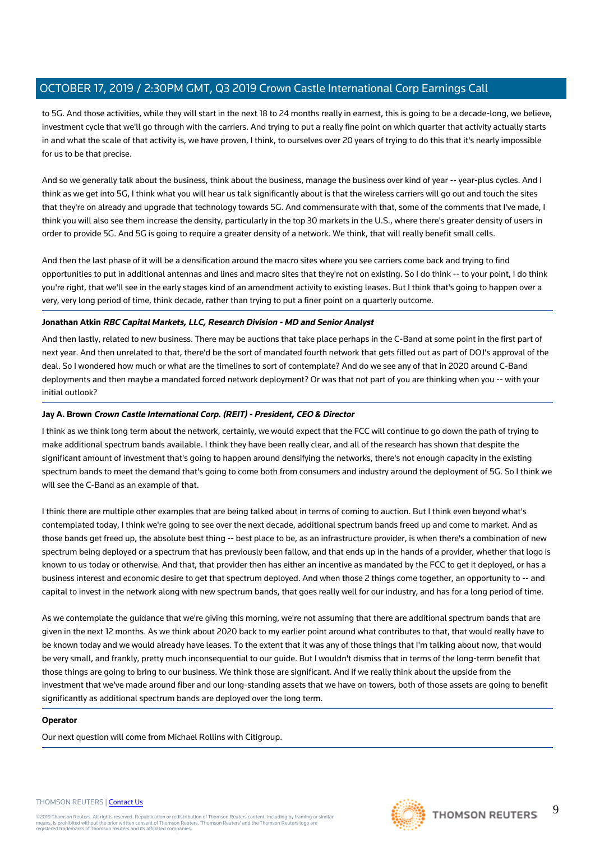to 5G. And those activities, while they will start in the next 18 to 24 months really in earnest, this is going to be a decade-long, we believe, investment cycle that we'll go through with the carriers. And trying to put a really fine point on which quarter that activity actually starts in and what the scale of that activity is, we have proven, I think, to ourselves over 20 years of trying to do this that it's nearly impossible for us to be that precise.

And so we generally talk about the business, think about the business, manage the business over kind of year -- year-plus cycles. And I think as we get into 5G, I think what you will hear us talk significantly about is that the wireless carriers will go out and touch the sites that they're on already and upgrade that technology towards 5G. And commensurate with that, some of the comments that I've made, I think you will also see them increase the density, particularly in the top 30 markets in the U.S., where there's greater density of users in order to provide 5G. And 5G is going to require a greater density of a network. We think, that will really benefit small cells.

And then the last phase of it will be a densification around the macro sites where you see carriers come back and trying to find opportunities to put in additional antennas and lines and macro sites that they're not on existing. So I do think -- to your point, I do think you're right, that we'll see in the early stages kind of an amendment activity to existing leases. But I think that's going to happen over a very, very long period of time, think decade, rather than trying to put a finer point on a quarterly outcome.

## **Jonathan Atkin RBC Capital Markets, LLC, Research Division - MD and Senior Analyst**

And then lastly, related to new business. There may be auctions that take place perhaps in the C-Band at some point in the first part of next year. And then unrelated to that, there'd be the sort of mandated fourth network that gets filled out as part of DOJ's approval of the deal. So I wondered how much or what are the timelines to sort of contemplate? And do we see any of that in 2020 around C-Band deployments and then maybe a mandated forced network deployment? Or was that not part of you are thinking when you -- with your initial outlook?

# **Jay A. Brown Crown Castle International Corp. (REIT) - President, CEO & Director**

I think as we think long term about the network, certainly, we would expect that the FCC will continue to go down the path of trying to make additional spectrum bands available. I think they have been really clear, and all of the research has shown that despite the significant amount of investment that's going to happen around densifying the networks, there's not enough capacity in the existing spectrum bands to meet the demand that's going to come both from consumers and industry around the deployment of 5G. So I think we will see the C-Band as an example of that.

I think there are multiple other examples that are being talked about in terms of coming to auction. But I think even beyond what's contemplated today, I think we're going to see over the next decade, additional spectrum bands freed up and come to market. And as those bands get freed up, the absolute best thing -- best place to be, as an infrastructure provider, is when there's a combination of new spectrum being deployed or a spectrum that has previously been fallow, and that ends up in the hands of a provider, whether that logo is known to us today or otherwise. And that, that provider then has either an incentive as mandated by the FCC to get it deployed, or has a business interest and economic desire to get that spectrum deployed. And when those 2 things come together, an opportunity to -- and capital to invest in the network along with new spectrum bands, that goes really well for our industry, and has for a long period of time.

As we contemplate the guidance that we're giving this morning, we're not assuming that there are additional spectrum bands that are given in the next 12 months. As we think about 2020 back to my earlier point around what contributes to that, that would really have to be known today and we would already have leases. To the extent that it was any of those things that I'm talking about now, that would be very small, and frankly, pretty much inconsequential to our guide. But I wouldn't dismiss that in terms of the long-term benefit that those things are going to bring to our business. We think those are significant. And if we really think about the upside from the investment that we've made around fiber and our long-standing assets that we have on towers, both of those assets are going to benefit significantly as additional spectrum bands are deployed over the long term.

## **Operator**

Our next question will come from Michael Rollins with Citigroup.



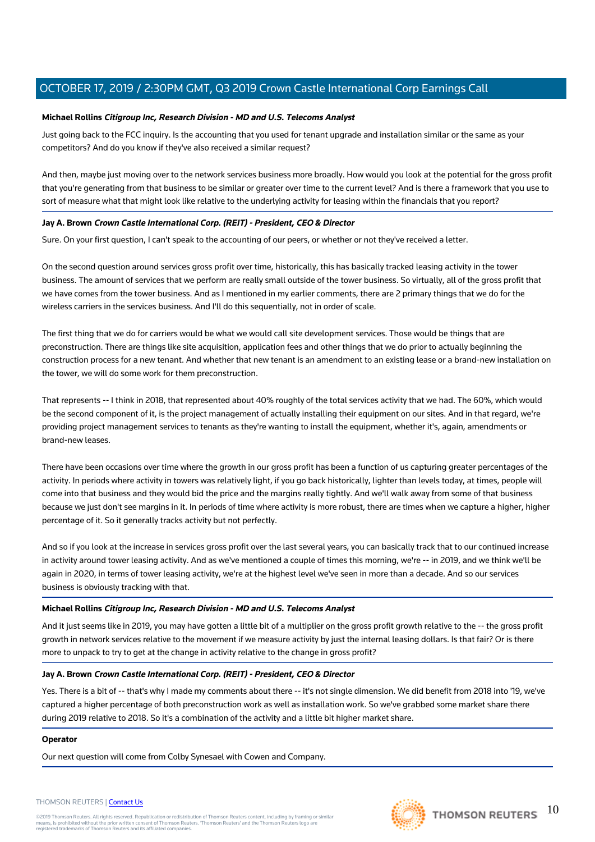#### **Michael Rollins Citigroup Inc, Research Division - MD and U.S. Telecoms Analyst**

Just going back to the FCC inquiry. Is the accounting that you used for tenant upgrade and installation similar or the same as your competitors? And do you know if they've also received a similar request?

And then, maybe just moving over to the network services business more broadly. How would you look at the potential for the gross profit that you're generating from that business to be similar or greater over time to the current level? And is there a framework that you use to sort of measure what that might look like relative to the underlying activity for leasing within the financials that you report?

## **Jay A. Brown Crown Castle International Corp. (REIT) - President, CEO & Director**

Sure. On your first question, I can't speak to the accounting of our peers, or whether or not they've received a letter.

On the second question around services gross profit over time, historically, this has basically tracked leasing activity in the tower business. The amount of services that we perform are really small outside of the tower business. So virtually, all of the gross profit that we have comes from the tower business. And as I mentioned in my earlier comments, there are 2 primary things that we do for the wireless carriers in the services business. And I'll do this sequentially, not in order of scale.

The first thing that we do for carriers would be what we would call site development services. Those would be things that are preconstruction. There are things like site acquisition, application fees and other things that we do prior to actually beginning the construction process for a new tenant. And whether that new tenant is an amendment to an existing lease or a brand-new installation on the tower, we will do some work for them preconstruction.

That represents -- I think in 2018, that represented about 40% roughly of the total services activity that we had. The 60%, which would be the second component of it, is the project management of actually installing their equipment on our sites. And in that regard, we're providing project management services to tenants as they're wanting to install the equipment, whether it's, again, amendments or brand-new leases.

There have been occasions over time where the growth in our gross profit has been a function of us capturing greater percentages of the activity. In periods where activity in towers was relatively light, if you go back historically, lighter than levels today, at times, people will come into that business and they would bid the price and the margins really tightly. And we'll walk away from some of that business because we just don't see margins in it. In periods of time where activity is more robust, there are times when we capture a higher, higher percentage of it. So it generally tracks activity but not perfectly.

And so if you look at the increase in services gross profit over the last several years, you can basically track that to our continued increase in activity around tower leasing activity. And as we've mentioned a couple of times this morning, we're -- in 2019, and we think we'll be again in 2020, in terms of tower leasing activity, we're at the highest level we've seen in more than a decade. And so our services business is obviously tracking with that.

#### **Michael Rollins Citigroup Inc, Research Division - MD and U.S. Telecoms Analyst**

And it just seems like in 2019, you may have gotten a little bit of a multiplier on the gross profit growth relative to the -- the gross profit growth in network services relative to the movement if we measure activity by just the internal leasing dollars. Is that fair? Or is there more to unpack to try to get at the change in activity relative to the change in gross profit?

#### **Jay A. Brown Crown Castle International Corp. (REIT) - President, CEO & Director**

Yes. There is a bit of -- that's why I made my comments about there -- it's not single dimension. We did benefit from 2018 into '19, we've captured a higher percentage of both preconstruction work as well as installation work. So we've grabbed some market share there during 2019 relative to 2018. So it's a combination of the activity and a little bit higher market share.

#### **Operator**

Our next question will come from Colby Synesael with Cowen and Company.



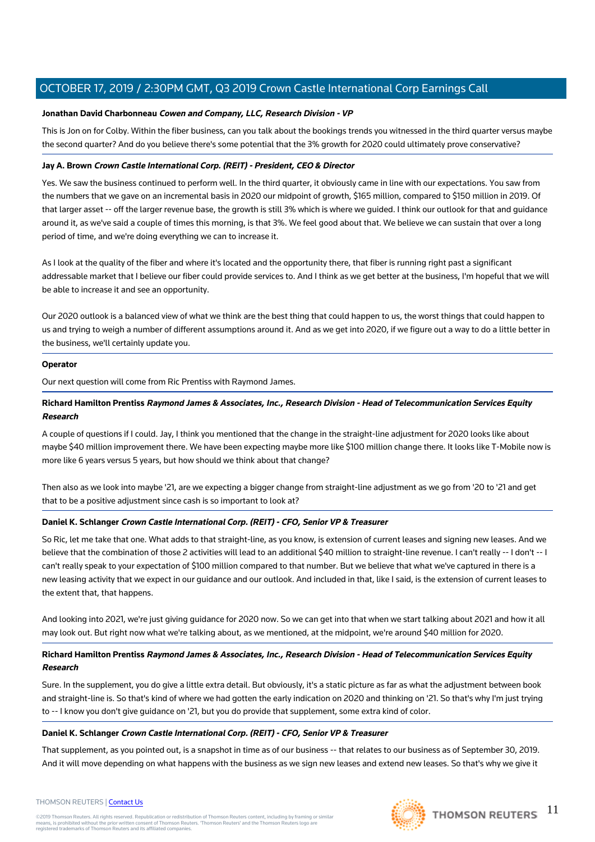## **Jonathan David Charbonneau Cowen and Company, LLC, Research Division - VP**

This is Jon on for Colby. Within the fiber business, can you talk about the bookings trends you witnessed in the third quarter versus maybe the second quarter? And do you believe there's some potential that the 3% growth for 2020 could ultimately prove conservative?

## **Jay A. Brown Crown Castle International Corp. (REIT) - President, CEO & Director**

Yes. We saw the business continued to perform well. In the third quarter, it obviously came in line with our expectations. You saw from the numbers that we gave on an incremental basis in 2020 our midpoint of growth, \$165 million, compared to \$150 million in 2019. Of that larger asset -- off the larger revenue base, the growth is still 3% which is where we guided. I think our outlook for that and guidance around it, as we've said a couple of times this morning, is that 3%. We feel good about that. We believe we can sustain that over a long period of time, and we're doing everything we can to increase it.

As I look at the quality of the fiber and where it's located and the opportunity there, that fiber is running right past a significant addressable market that I believe our fiber could provide services to. And I think as we get better at the business, I'm hopeful that we will be able to increase it and see an opportunity.

Our 2020 outlook is a balanced view of what we think are the best thing that could happen to us, the worst things that could happen to us and trying to weigh a number of different assumptions around it. And as we get into 2020, if we figure out a way to do a little better in the business, we'll certainly update you.

## **Operator**

Our next question will come from Ric Prentiss with Raymond James.

# **Richard Hamilton Prentiss Raymond James & Associates, Inc., Research Division - Head of Telecommunication Services Equity Research**

A couple of questions if I could. Jay, I think you mentioned that the change in the straight-line adjustment for 2020 looks like about maybe \$40 million improvement there. We have been expecting maybe more like \$100 million change there. It looks like T-Mobile now is more like 6 years versus 5 years, but how should we think about that change?

Then also as we look into maybe '21, are we expecting a bigger change from straight-line adjustment as we go from '20 to '21 and get that to be a positive adjustment since cash is so important to look at?

## **Daniel K. Schlanger Crown Castle International Corp. (REIT) - CFO, Senior VP & Treasurer**

So Ric, let me take that one. What adds to that straight-line, as you know, is extension of current leases and signing new leases. And we believe that the combination of those 2 activities will lead to an additional \$40 million to straight-line revenue. I can't really -- I don't -- I can't really speak to your expectation of \$100 million compared to that number. But we believe that what we've captured in there is a new leasing activity that we expect in our guidance and our outlook. And included in that, like I said, is the extension of current leases to the extent that, that happens.

And looking into 2021, we're just giving guidance for 2020 now. So we can get into that when we start talking about 2021 and how it all may look out. But right now what we're talking about, as we mentioned, at the midpoint, we're around \$40 million for 2020.

# **Richard Hamilton Prentiss Raymond James & Associates, Inc., Research Division - Head of Telecommunication Services Equity Research**

Sure. In the supplement, you do give a little extra detail. But obviously, it's a static picture as far as what the adjustment between book and straight-line is. So that's kind of where we had gotten the early indication on 2020 and thinking on '21. So that's why I'm just trying to -- I know you don't give guidance on '21, but you do provide that supplement, some extra kind of color.

## **Daniel K. Schlanger Crown Castle International Corp. (REIT) - CFO, Senior VP & Treasurer**

That supplement, as you pointed out, is a snapshot in time as of our business -- that relates to our business as of September 30, 2019. And it will move depending on what happens with the business as we sign new leases and extend new leases. So that's why we give it



#### THOMSON REUTERS | [Contact Us](https://my.thomsonreuters.com/ContactUsNew)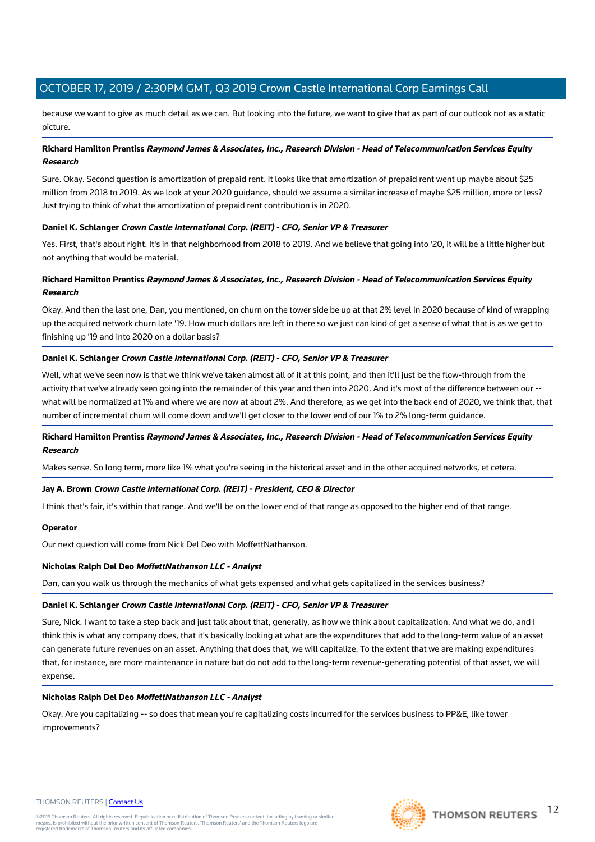because we want to give as much detail as we can. But looking into the future, we want to give that as part of our outlook not as a static picture.

# **Richard Hamilton Prentiss Raymond James & Associates, Inc., Research Division - Head of Telecommunication Services Equity Research**

Sure. Okay. Second question is amortization of prepaid rent. It looks like that amortization of prepaid rent went up maybe about \$25 million from 2018 to 2019. As we look at your 2020 guidance, should we assume a similar increase of maybe \$25 million, more or less? Just trying to think of what the amortization of prepaid rent contribution is in 2020.

## **Daniel K. Schlanger Crown Castle International Corp. (REIT) - CFO, Senior VP & Treasurer**

Yes. First, that's about right. It's in that neighborhood from 2018 to 2019. And we believe that going into '20, it will be a little higher but not anything that would be material.

# **Richard Hamilton Prentiss Raymond James & Associates, Inc., Research Division - Head of Telecommunication Services Equity Research**

Okay. And then the last one, Dan, you mentioned, on churn on the tower side be up at that 2% level in 2020 because of kind of wrapping up the acquired network churn late '19. How much dollars are left in there so we just can kind of get a sense of what that is as we get to finishing up '19 and into 2020 on a dollar basis?

## **Daniel K. Schlanger Crown Castle International Corp. (REIT) - CFO, Senior VP & Treasurer**

Well, what we've seen now is that we think we've taken almost all of it at this point, and then it'll just be the flow-through from the activity that we've already seen going into the remainder of this year and then into 2020. And it's most of the difference between our - what will be normalized at 1% and where we are now at about 2%. And therefore, as we get into the back end of 2020, we think that, that number of incremental churn will come down and we'll get closer to the lower end of our 1% to 2% long-term guidance.

## **Richard Hamilton Prentiss Raymond James & Associates, Inc., Research Division - Head of Telecommunication Services Equity Research**

Makes sense. So long term, more like 1% what you're seeing in the historical asset and in the other acquired networks, et cetera.

## **Jay A. Brown Crown Castle International Corp. (REIT) - President, CEO & Director**

I think that's fair, it's within that range. And we'll be on the lower end of that range as opposed to the higher end of that range.

## **Operator**

Our next question will come from Nick Del Deo with MoffettNathanson.

## **Nicholas Ralph Del Deo MoffettNathanson LLC - Analyst**

Dan, can you walk us through the mechanics of what gets expensed and what gets capitalized in the services business?

## **Daniel K. Schlanger Crown Castle International Corp. (REIT) - CFO, Senior VP & Treasurer**

Sure, Nick. I want to take a step back and just talk about that, generally, as how we think about capitalization. And what we do, and I think this is what any company does, that it's basically looking at what are the expenditures that add to the long-term value of an asset can generate future revenues on an asset. Anything that does that, we will capitalize. To the extent that we are making expenditures that, for instance, are more maintenance in nature but do not add to the long-term revenue-generating potential of that asset, we will expense.

## **Nicholas Ralph Del Deo MoffettNathanson LLC - Analyst**

Okay. Are you capitalizing -- so does that mean you're capitalizing costs incurred for the services business to PP&E, like tower improvements?

#### THOMSON REUTERS | [Contact Us](https://my.thomsonreuters.com/ContactUsNew)

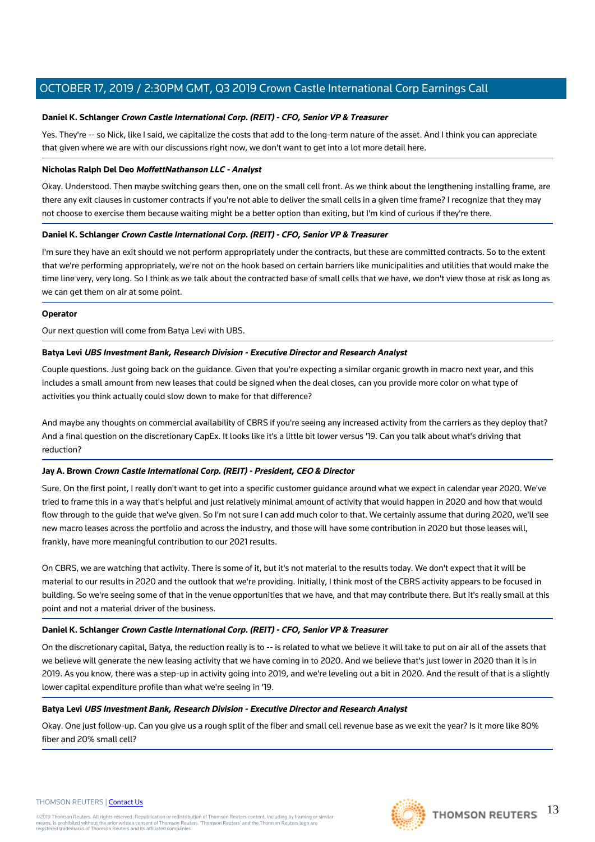#### **Daniel K. Schlanger Crown Castle International Corp. (REIT) - CFO, Senior VP & Treasurer**

Yes. They're -- so Nick, like I said, we capitalize the costs that add to the long-term nature of the asset. And I think you can appreciate that given where we are with our discussions right now, we don't want to get into a lot more detail here.

#### **Nicholas Ralph Del Deo MoffettNathanson LLC - Analyst**

Okay. Understood. Then maybe switching gears then, one on the small cell front. As we think about the lengthening installing frame, are there any exit clauses in customer contracts if you're not able to deliver the small cells in a given time frame? I recognize that they may not choose to exercise them because waiting might be a better option than exiting, but I'm kind of curious if they're there.

## **Daniel K. Schlanger Crown Castle International Corp. (REIT) - CFO, Senior VP & Treasurer**

I'm sure they have an exit should we not perform appropriately under the contracts, but these are committed contracts. So to the extent that we're performing appropriately, we're not on the hook based on certain barriers like municipalities and utilities that would make the time line very, very long. So I think as we talk about the contracted base of small cells that we have, we don't view those at risk as long as we can get them on air at some point.

#### **Operator**

Our next question will come from Batya Levi with UBS.

#### **Batya Levi UBS Investment Bank, Research Division - Executive Director and Research Analyst**

Couple questions. Just going back on the guidance. Given that you're expecting a similar organic growth in macro next year, and this includes a small amount from new leases that could be signed when the deal closes, can you provide more color on what type of activities you think actually could slow down to make for that difference?

And maybe any thoughts on commercial availability of CBRS if you're seeing any increased activity from the carriers as they deploy that? And a final question on the discretionary CapEx. It looks like it's a little bit lower versus '19. Can you talk about what's driving that reduction?

## **Jay A. Brown Crown Castle International Corp. (REIT) - President, CEO & Director**

Sure. On the first point, I really don't want to get into a specific customer guidance around what we expect in calendar year 2020. We've tried to frame this in a way that's helpful and just relatively minimal amount of activity that would happen in 2020 and how that would flow through to the guide that we've given. So I'm not sure I can add much color to that. We certainly assume that during 2020, we'll see new macro leases across the portfolio and across the industry, and those will have some contribution in 2020 but those leases will, frankly, have more meaningful contribution to our 2021 results.

On CBRS, we are watching that activity. There is some of it, but it's not material to the results today. We don't expect that it will be material to our results in 2020 and the outlook that we're providing. Initially, I think most of the CBRS activity appears to be focused in building. So we're seeing some of that in the venue opportunities that we have, and that may contribute there. But it's really small at this point and not a material driver of the business.

## **Daniel K. Schlanger Crown Castle International Corp. (REIT) - CFO, Senior VP & Treasurer**

On the discretionary capital, Batya, the reduction really is to -- is related to what we believe it will take to put on air all of the assets that we believe will generate the new leasing activity that we have coming in to 2020. And we believe that's just lower in 2020 than it is in 2019. As you know, there was a step-up in activity going into 2019, and we're leveling out a bit in 2020. And the result of that is a slightly lower capital expenditure profile than what we're seeing in '19.

#### **Batya Levi UBS Investment Bank, Research Division - Executive Director and Research Analyst**

Okay. One just follow-up. Can you give us a rough split of the fiber and small cell revenue base as we exit the year? Is it more like 80% fiber and 20% small cell?

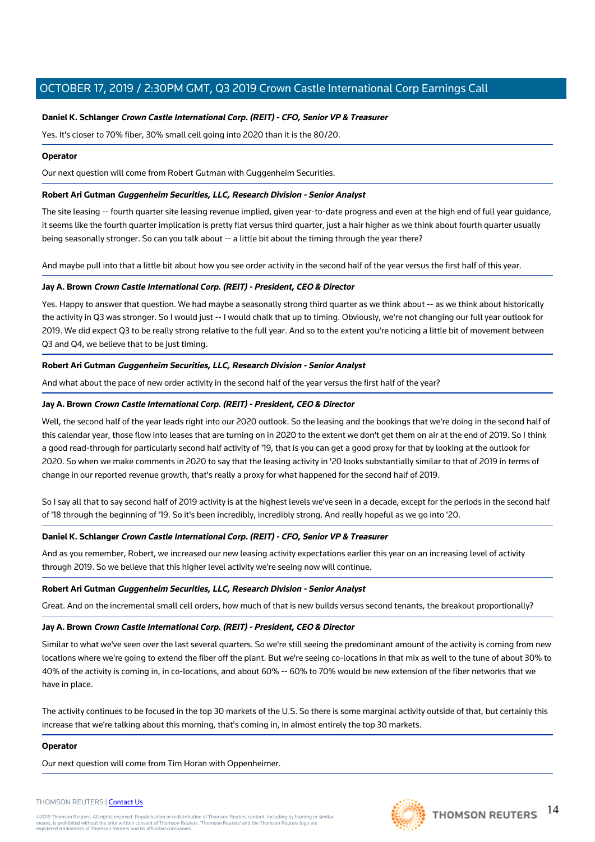# **Daniel K. Schlanger Crown Castle International Corp. (REIT) - CFO, Senior VP & Treasurer**

Yes. It's closer to 70% fiber, 30% small cell going into 2020 than it is the 80/20.

## **Operator**

Our next question will come from Robert Gutman with Guggenheim Securities.

## **Robert Ari Gutman Guggenheim Securities, LLC, Research Division - Senior Analyst**

The site leasing -- fourth quarter site leasing revenue implied, given year-to-date progress and even at the high end of full year guidance, it seems like the fourth quarter implication is pretty flat versus third quarter, just a hair higher as we think about fourth quarter usually being seasonally stronger. So can you talk about -- a little bit about the timing through the year there?

And maybe pull into that a little bit about how you see order activity in the second half of the year versus the first half of this year.

## **Jay A. Brown Crown Castle International Corp. (REIT) - President, CEO & Director**

Yes. Happy to answer that question. We had maybe a seasonally strong third quarter as we think about -- as we think about historically the activity in Q3 was stronger. So I would just -- I would chalk that up to timing. Obviously, we're not changing our full year outlook for 2019. We did expect Q3 to be really strong relative to the full year. And so to the extent you're noticing a little bit of movement between Q3 and Q4, we believe that to be just timing.

## **Robert Ari Gutman Guggenheim Securities, LLC, Research Division - Senior Analyst**

And what about the pace of new order activity in the second half of the year versus the first half of the year?

## **Jay A. Brown Crown Castle International Corp. (REIT) - President, CEO & Director**

Well, the second half of the year leads right into our 2020 outlook. So the leasing and the bookings that we're doing in the second half of this calendar year, those flow into leases that are turning on in 2020 to the extent we don't get them on air at the end of 2019. So I think a good read-through for particularly second half activity of '19, that is you can get a good proxy for that by looking at the outlook for 2020. So when we make comments in 2020 to say that the leasing activity in '20 looks substantially similar to that of 2019 in terms of change in our reported revenue growth, that's really a proxy for what happened for the second half of 2019.

So I say all that to say second half of 2019 activity is at the highest levels we've seen in a decade, except for the periods in the second half of '18 through the beginning of '19. So it's been incredibly, incredibly strong. And really hopeful as we go into '20.

## **Daniel K. Schlanger Crown Castle International Corp. (REIT) - CFO, Senior VP & Treasurer**

And as you remember, Robert, we increased our new leasing activity expectations earlier this year on an increasing level of activity through 2019. So we believe that this higher level activity we're seeing now will continue.

## **Robert Ari Gutman Guggenheim Securities, LLC, Research Division - Senior Analyst**

Great. And on the incremental small cell orders, how much of that is new builds versus second tenants, the breakout proportionally?

## **Jay A. Brown Crown Castle International Corp. (REIT) - President, CEO & Director**

Similar to what we've seen over the last several quarters. So we're still seeing the predominant amount of the activity is coming from new locations where we're going to extend the fiber off the plant. But we're seeing co-locations in that mix as well to the tune of about 30% to 40% of the activity is coming in, in co-locations, and about 60% -- 60% to 70% would be new extension of the fiber networks that we have in place.

The activity continues to be focused in the top 30 markets of the U.S. So there is some marginal activity outside of that, but certainly this increase that we're talking about this morning, that's coming in, in almost entirely the top 30 markets.

## **Operator**

Our next question will come from Tim Horan with Oppenheimer.



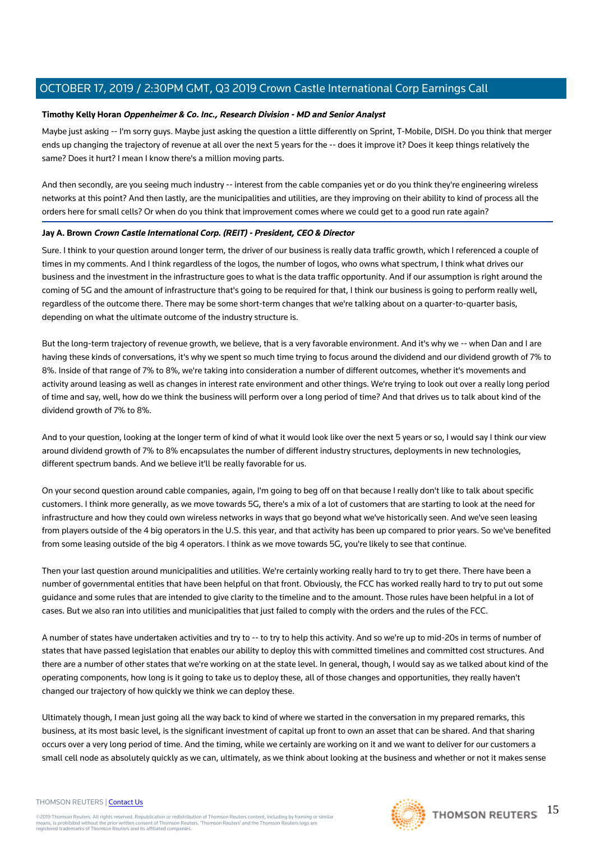## **Timothy Kelly Horan Oppenheimer & Co. Inc., Research Division - MD and Senior Analyst**

Maybe just asking -- I'm sorry guys. Maybe just asking the question a little differently on Sprint, T-Mobile, DISH. Do you think that merger ends up changing the trajectory of revenue at all over the next 5 years for the -- does it improve it? Does it keep things relatively the same? Does it hurt? I mean I know there's a million moving parts.

And then secondly, are you seeing much industry -- interest from the cable companies yet or do you think they're engineering wireless networks at this point? And then lastly, are the municipalities and utilities, are they improving on their ability to kind of process all the orders here for small cells? Or when do you think that improvement comes where we could get to a good run rate again?

#### **Jay A. Brown Crown Castle International Corp. (REIT) - President, CEO & Director**

Sure. I think to your question around longer term, the driver of our business is really data traffic growth, which I referenced a couple of times in my comments. And I think regardless of the logos, the number of logos, who owns what spectrum, I think what drives our business and the investment in the infrastructure goes to what is the data traffic opportunity. And if our assumption is right around the coming of 5G and the amount of infrastructure that's going to be required for that, I think our business is going to perform really well, regardless of the outcome there. There may be some short-term changes that we're talking about on a quarter-to-quarter basis, depending on what the ultimate outcome of the industry structure is.

But the long-term trajectory of revenue growth, we believe, that is a very favorable environment. And it's why we -- when Dan and I are having these kinds of conversations, it's why we spent so much time trying to focus around the dividend and our dividend growth of 7% to 8%. Inside of that range of 7% to 8%, we're taking into consideration a number of different outcomes, whether it's movements and activity around leasing as well as changes in interest rate environment and other things. We're trying to look out over a really long period of time and say, well, how do we think the business will perform over a long period of time? And that drives us to talk about kind of the dividend growth of 7% to 8%.

And to your question, looking at the longer term of kind of what it would look like over the next 5 years or so, I would say I think our view around dividend growth of 7% to 8% encapsulates the number of different industry structures, deployments in new technologies, different spectrum bands. And we believe it'll be really favorable for us.

On your second question around cable companies, again, I'm going to beg off on that because I really don't like to talk about specific customers. I think more generally, as we move towards 5G, there's a mix of a lot of customers that are starting to look at the need for infrastructure and how they could own wireless networks in ways that go beyond what we've historically seen. And we've seen leasing from players outside of the 4 big operators in the U.S. this year, and that activity has been up compared to prior years. So we've benefited from some leasing outside of the big 4 operators. I think as we move towards 5G, you're likely to see that continue.

Then your last question around municipalities and utilities. We're certainly working really hard to try to get there. There have been a number of governmental entities that have been helpful on that front. Obviously, the FCC has worked really hard to try to put out some guidance and some rules that are intended to give clarity to the timeline and to the amount. Those rules have been helpful in a lot of cases. But we also ran into utilities and municipalities that just failed to comply with the orders and the rules of the FCC.

A number of states have undertaken activities and try to -- to try to help this activity. And so we're up to mid-20s in terms of number of states that have passed legislation that enables our ability to deploy this with committed timelines and committed cost structures. And there are a number of other states that we're working on at the state level. In general, though, I would say as we talked about kind of the operating components, how long is it going to take us to deploy these, all of those changes and opportunities, they really haven't changed our trajectory of how quickly we think we can deploy these.

Ultimately though, I mean just going all the way back to kind of where we started in the conversation in my prepared remarks, this business, at its most basic level, is the significant investment of capital up front to own an asset that can be shared. And that sharing occurs over a very long period of time. And the timing, while we certainly are working on it and we want to deliver for our customers a small cell node as absolutely quickly as we can, ultimately, as we think about looking at the business and whether or not it makes sense

#### THOMSON REUTERS | [Contact Us](https://my.thomsonreuters.com/ContactUsNew)

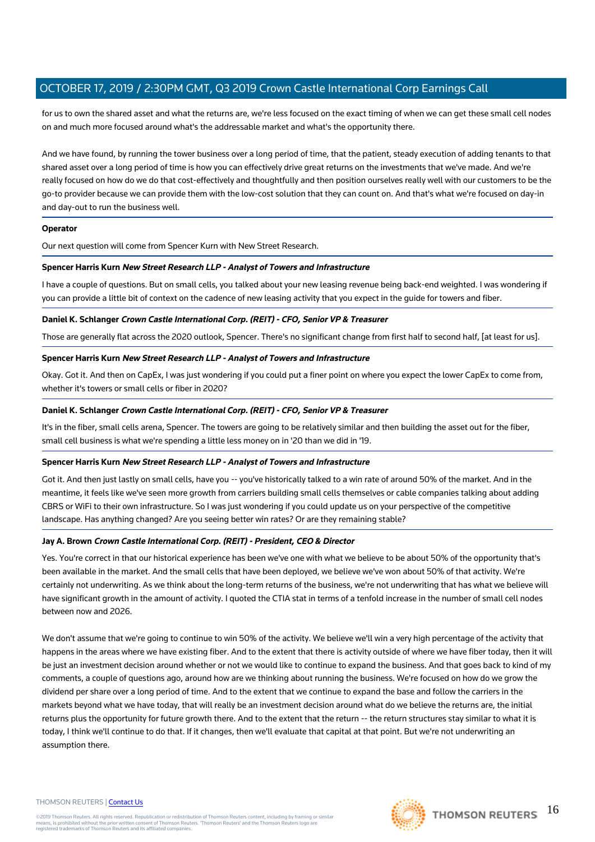for us to own the shared asset and what the returns are, we're less focused on the exact timing of when we can get these small cell nodes on and much more focused around what's the addressable market and what's the opportunity there.

And we have found, by running the tower business over a long period of time, that the patient, steady execution of adding tenants to that shared asset over a long period of time is how you can effectively drive great returns on the investments that we've made. And we're really focused on how do we do that cost-effectively and thoughtfully and then position ourselves really well with our customers to be the go-to provider because we can provide them with the low-cost solution that they can count on. And that's what we're focused on day-in and day-out to run the business well.

#### **Operator**

Our next question will come from Spencer Kurn with New Street Research.

#### **Spencer Harris Kurn New Street Research LLP - Analyst of Towers and Infrastructure**

I have a couple of questions. But on small cells, you talked about your new leasing revenue being back-end weighted. I was wondering if you can provide a little bit of context on the cadence of new leasing activity that you expect in the guide for towers and fiber.

#### **Daniel K. Schlanger Crown Castle International Corp. (REIT) - CFO, Senior VP & Treasurer**

Those are generally flat across the 2020 outlook, Spencer. There's no significant change from first half to second half, [at least for us].

#### **Spencer Harris Kurn New Street Research LLP - Analyst of Towers and Infrastructure**

Okay. Got it. And then on CapEx, I was just wondering if you could put a finer point on where you expect the lower CapEx to come from, whether it's towers or small cells or fiber in 2020?

## **Daniel K. Schlanger Crown Castle International Corp. (REIT) - CFO, Senior VP & Treasurer**

It's in the fiber, small cells arena, Spencer. The towers are going to be relatively similar and then building the asset out for the fiber, small cell business is what we're spending a little less money on in '20 than we did in '19.

#### **Spencer Harris Kurn New Street Research LLP - Analyst of Towers and Infrastructure**

Got it. And then just lastly on small cells, have you -- you've historically talked to a win rate of around 50% of the market. And in the meantime, it feels like we've seen more growth from carriers building small cells themselves or cable companies talking about adding CBRS or WiFi to their own infrastructure. So I was just wondering if you could update us on your perspective of the competitive landscape. Has anything changed? Are you seeing better win rates? Or are they remaining stable?

## **Jay A. Brown Crown Castle International Corp. (REIT) - President, CEO & Director**

Yes. You're correct in that our historical experience has been we've one with what we believe to be about 50% of the opportunity that's been available in the market. And the small cells that have been deployed, we believe we've won about 50% of that activity. We're certainly not underwriting. As we think about the long-term returns of the business, we're not underwriting that has what we believe will have significant growth in the amount of activity. I quoted the CTIA stat in terms of a tenfold increase in the number of small cell nodes between now and 2026.

We don't assume that we're going to continue to win 50% of the activity. We believe we'll win a very high percentage of the activity that happens in the areas where we have existing fiber. And to the extent that there is activity outside of where we have fiber today, then it will be just an investment decision around whether or not we would like to continue to expand the business. And that goes back to kind of my comments, a couple of questions ago, around how are we thinking about running the business. We're focused on how do we grow the dividend per share over a long period of time. And to the extent that we continue to expand the base and follow the carriers in the markets beyond what we have today, that will really be an investment decision around what do we believe the returns are, the initial returns plus the opportunity for future growth there. And to the extent that the return -- the return structures stay similar to what it is today, I think we'll continue to do that. If it changes, then we'll evaluate that capital at that point. But we're not underwriting an assumption there.

#### THOMSON REUTERS | [Contact Us](https://my.thomsonreuters.com/ContactUsNew)

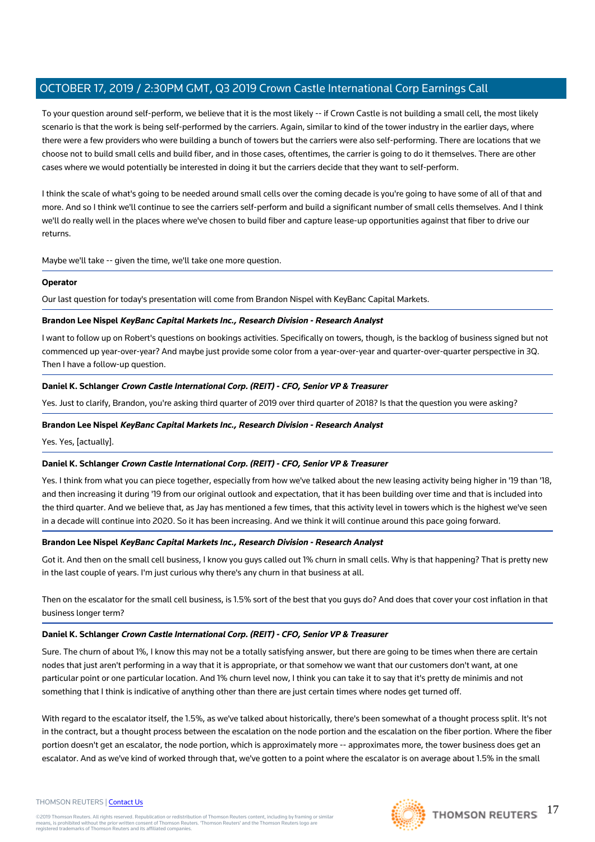To your question around self-perform, we believe that it is the most likely -- if Crown Castle is not building a small cell, the most likely scenario is that the work is being self-performed by the carriers. Again, similar to kind of the tower industry in the earlier days, where there were a few providers who were building a bunch of towers but the carriers were also self-performing. There are locations that we choose not to build small cells and build fiber, and in those cases, oftentimes, the carrier is going to do it themselves. There are other cases where we would potentially be interested in doing it but the carriers decide that they want to self-perform.

I think the scale of what's going to be needed around small cells over the coming decade is you're going to have some of all of that and more. And so I think we'll continue to see the carriers self-perform and build a significant number of small cells themselves. And I think we'll do really well in the places where we've chosen to build fiber and capture lease-up opportunities against that fiber to drive our returns.

Maybe we'll take -- given the time, we'll take one more question.

## **Operator**

Our last question for today's presentation will come from Brandon Nispel with KeyBanc Capital Markets.

#### **Brandon Lee Nispel KeyBanc Capital Markets Inc., Research Division - Research Analyst**

I want to follow up on Robert's questions on bookings activities. Specifically on towers, though, is the backlog of business signed but not commenced up year-over-year? And maybe just provide some color from a year-over-year and quarter-over-quarter perspective in 3Q. Then I have a follow-up question.

#### **Daniel K. Schlanger Crown Castle International Corp. (REIT) - CFO, Senior VP & Treasurer**

Yes. Just to clarify, Brandon, you're asking third quarter of 2019 over third quarter of 2018? Is that the question you were asking?

#### **Brandon Lee Nispel KeyBanc Capital Markets Inc., Research Division - Research Analyst**

Yes. Yes, [actually].

#### **Daniel K. Schlanger Crown Castle International Corp. (REIT) - CFO, Senior VP & Treasurer**

Yes. I think from what you can piece together, especially from how we've talked about the new leasing activity being higher in '19 than '18, and then increasing it during '19 from our original outlook and expectation, that it has been building over time and that is included into the third quarter. And we believe that, as Jay has mentioned a few times, that this activity level in towers which is the highest we've seen in a decade will continue into 2020. So it has been increasing. And we think it will continue around this pace going forward.

#### **Brandon Lee Nispel KeyBanc Capital Markets Inc., Research Division - Research Analyst**

Got it. And then on the small cell business, I know you guys called out 1% churn in small cells. Why is that happening? That is pretty new in the last couple of years. I'm just curious why there's any churn in that business at all.

Then on the escalator for the small cell business, is 1.5% sort of the best that you guys do? And does that cover your cost inflation in that business longer term?

#### **Daniel K. Schlanger Crown Castle International Corp. (REIT) - CFO, Senior VP & Treasurer**

Sure. The churn of about 1%, I know this may not be a totally satisfying answer, but there are going to be times when there are certain nodes that just aren't performing in a way that it is appropriate, or that somehow we want that our customers don't want, at one particular point or one particular location. And 1% churn level now, I think you can take it to say that it's pretty de minimis and not something that I think is indicative of anything other than there are just certain times where nodes get turned off.

With regard to the escalator itself, the 1.5%, as we've talked about historically, there's been somewhat of a thought process split. It's not in the contract, but a thought process between the escalation on the node portion and the escalation on the fiber portion. Where the fiber portion doesn't get an escalator, the node portion, which is approximately more -- approximates more, the tower business does get an escalator. And as we've kind of worked through that, we've gotten to a point where the escalator is on average about 1.5% in the small